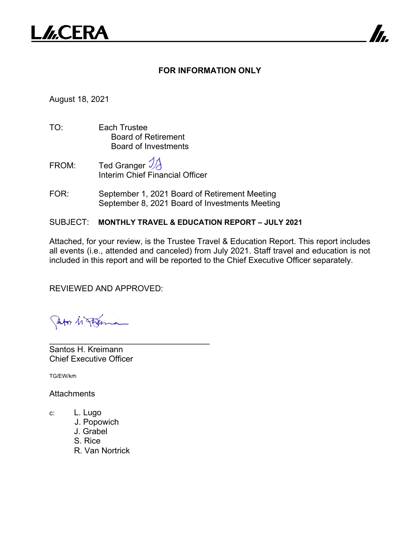

## **FOR INFORMATION ONLY**

7

August 18, 2021

- TO: Each Trustee Board of Retirement Board of Investments
- FROM: Ted Granger  $\mathcal{Y}$ Interim Chief Financial Officer
- FOR: September 1, 2021 Board of Retirement Meeting September 8, 2021 Board of Investments Meeting

SUBJECT: **MONTHLY TRAVEL & EDUCATION REPORT – JULY 2021**

Attached, for your review, is the Trustee Travel & Education Report. This report includes all events (i.e., attended and canceled) from July 2021. Staff travel and education is not included in this report and will be reported to the Chief Executive Officer separately.

REVIEWED AND APPROVED:

\_\_\_\_\_\_\_\_\_\_\_\_\_\_\_\_\_\_\_\_\_\_\_\_\_\_\_\_\_\_\_\_\_\_\_

Patos M. Philina

Santos H. Kreimann Chief Executive Officer

TG/EW/krh

**Attachments** 

- c: L. Lugo
	- J. Popowich
	- J. Grabel
	- S. Rice
	- R. Van Nortrick